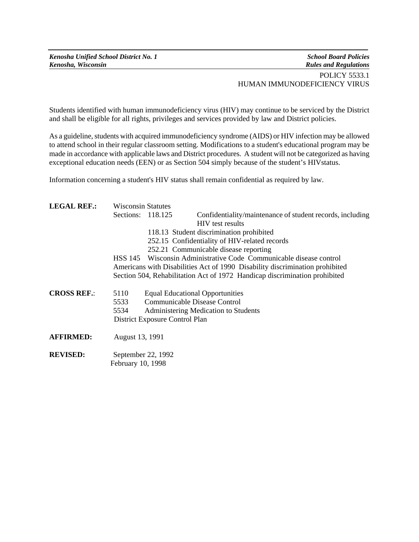Students identified with human immunodeficiency virus (HIV) may continue to be serviced by the District and shall be eligible for all rights, privileges and services provided by law and District policies.

As a guideline, students with acquired immunodeficiency syndrome (AIDS) or HIV infection may be allowed to attend school in their regular classroom setting. Modifications to a student's educational program may be made in accordance with applicable laws and District procedures. A student will not be categorized as having exceptional education needs (EEN) or as Section 504 simply because of the student's HIVstatus.

Information concerning a student's HIV status shall remain confidential as required by law.

| <b>LEGAL REF.:</b> | <b>Wisconsin Statutes</b>                                                                                                                                     |  |                                                           |
|--------------------|---------------------------------------------------------------------------------------------------------------------------------------------------------------|--|-----------------------------------------------------------|
|                    | Sections: 118.125                                                                                                                                             |  | Confidentiality/maintenance of student records, including |
|                    | <b>HIV</b> test results<br>118.13 Student discrimination prohibited<br>252.15 Confidentiality of HIV-related records<br>252.21 Communicable disease reporting |  |                                                           |
|                    |                                                                                                                                                               |  |                                                           |
|                    |                                                                                                                                                               |  |                                                           |
|                    |                                                                                                                                                               |  |                                                           |
|                    | Americans with Disabilities Act of 1990 Disability discrimination prohibited                                                                                  |  |                                                           |
|                    | Section 504, Rehabilitation Act of 1972 Handicap discrimination prohibited                                                                                    |  |                                                           |
| <b>CROSS REF.:</b> | 5110                                                                                                                                                          |  | <b>Equal Educational Opportunities</b>                    |
|                    | 5533                                                                                                                                                          |  | Communicable Disease Control                              |
|                    | 5534                                                                                                                                                          |  | Administering Medication to Students                      |
|                    | District Exposure Control Plan                                                                                                                                |  |                                                           |
| <b>AFFIRMED:</b>   | August 13, 1991                                                                                                                                               |  |                                                           |
| <b>REVISED:</b>    | September 22, 1992                                                                                                                                            |  |                                                           |
|                    | February 10, 1998                                                                                                                                             |  |                                                           |